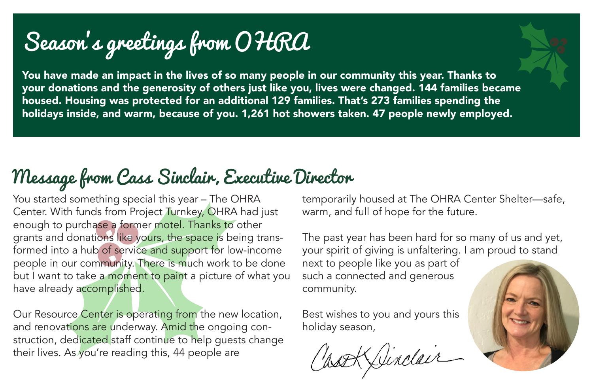## Season's greetings from OHRA

You have made an impact in the lives of so many people in our community this year. Thanks to your donations and the generosity of others just like you, lives were changed. 144 families became housed. Housing was protected for an additional 129 families. That's 273 families spending the holidays inside, and warm, because of you. 1,261 hot showers taken. 47 people newly employed.

## Message from Cass Sinclair, Executive Director

You started something special this year - The OHRA Center. With funds from Project Turnkey, OHRA had just enough to purchase a former motel. Thanks to other grants and donations like yours, the space is being transformed into a hub of service and support for low-income people in our community. There is much work to be done but I want to take a moment to paint a picture of what you have already accomplished.

Our Resource Center is operating from the new location, and renovations are underway. Amid the ongoing construction, dedicated staff continue to help quests change their lives. As you're reading this, 44 people are

temporarily housed at The OHRA Center Shelter—safe, warm, and full of hope for the future.

The past year has been hard for so many of us and yet, your spirit of giving is unfaltering. I am proud to stand next to people like you as part of such a connected and generous community.

Best wishes to you and yours this holiday season,

KDindair